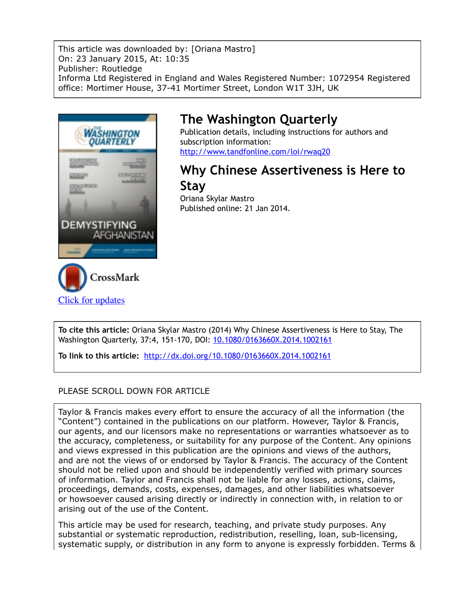This article was downloaded by: [Oriana Mastro] On: 23 January 2015, At: 10:35 Publisher: Routledge Informa Ltd Registered in England and Wales Registered Number: 1072954 Registered office: Mortimer House, 37-41 Mortimer Street, London W1T 3JH, UK



## **The Washington Quarterly**

Publication details, including instructions for authors and subscription information: http://www.tandfonline.com/loi/rwaq20

## **Why Chinese Assertiveness is Here to Stay**

Oriana Skylar Mastro Published online: 21 Jan 2014.

**To cite this article:** Oriana Skylar Mastro (2014) Why Chinese Assertiveness is Here to Stay, The Washington Quarterly, 37:4, 151-170, DOI: 10.1080/0163660X.2014.1002161

**To link to this article:** http://dx.doi.org/10.1080/0163660X.2014.1002161

### PLEASE SCROLL DOWN FOR ARTICLE

Taylor & Francis makes every effort to ensure the accuracy of all the information (the "Content") contained in the publications on our platform. However, Taylor & Francis, our agents, and our licensors make no representations or warranties whatsoever as to the accuracy, completeness, or suitability for any purpose of the Content. Any opinions and views expressed in this publication are the opinions and views of the authors, and are not the views of or endorsed by Taylor & Francis. The accuracy of the Content should not be relied upon and should be independently verified with primary sources of information. Taylor and Francis shall not be liable for any losses, actions, claims, proceedings, demands, costs, expenses, damages, and other liabilities whatsoever or howsoever caused arising directly or indirectly in connection with, in relation to or arising out of the use of the Content.

This article may be used for research, teaching, and private study purposes. Any substantial or systematic reproduction, redistribution, reselling, loan, sub-licensing, systematic supply, or distribution in any form to anyone is expressly forbidden. Terms &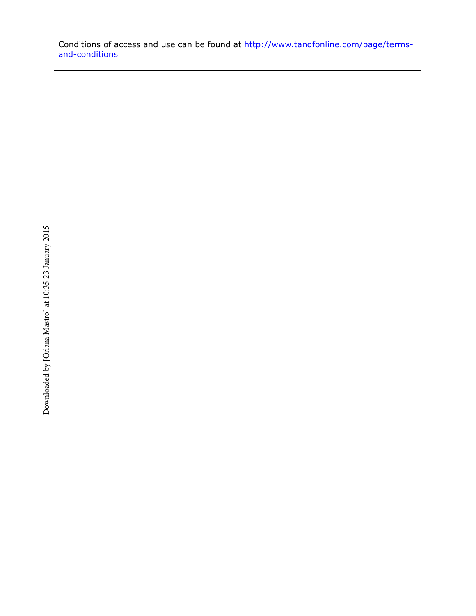Conditions of access and use can be found at http://www.tandfonline.com/page/termsand-conditions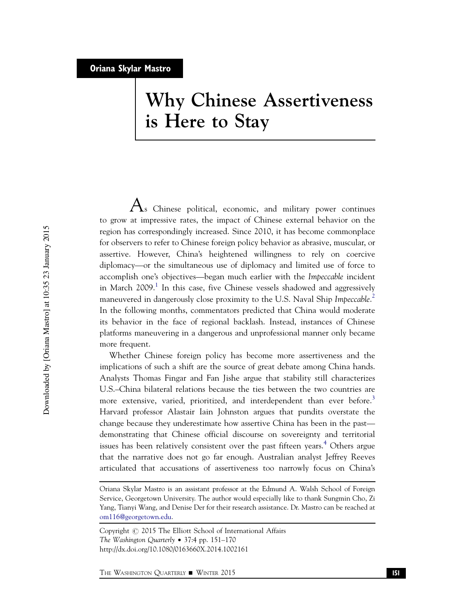# Why Chinese Assertiveness is Here to Stay

 ${\rm A_s}$  Chinese political, economic, and military power continues to grow at impressive rates, the impact of Chinese external behavior on the region has correspondingly increased. Since 2010, it has become commonplace for observers to refer to Chinese foreign policy behavior as abrasive, muscular, or assertive. However, China's heightened willingness to rely on coercive diplomacy—or the simultaneous use of diplomacy and limited use of force to accomplish one's objectives—began much earlier with the Impeccable incident in March  $2009$ .<sup>1</sup> In this case, five Chinese vessels shadowed and aggressively maneuvered in dangerously close proximity to the U.S. Naval Ship Impeccable.<sup>2</sup> In the following months, commentators predicted that China would moderate its behavior in the face of regional backlash. Instead, instances of Chinese platforms maneuvering in a dangerous and unprofessional manner only became more frequent.

Whether Chinese foreign policy has become more assertiveness and the implications of such a shift are the source of great debate among China hands. Analysts Thomas Fingar and Fan Jishe argue that stability still characterizes U.S.–China bilateral relations because the ties between the two countries are more extensive, varied, prioritized, and interdependent than ever before.<sup>3</sup> Harvard professor Alastair Iain Johnston argues that pundits overstate the change because they underestimate how assertive China has been in the past demonstrating that Chinese official discourse on sovereignty and territorial issues has been relatively consistent over the past fifteen years.<sup>4</sup> Others argue that the narrative does not go far enough. Australian analyst Jeffrey Reeves articulated that accusations of assertiveness too narrowly focus on China's

Copyright  $\odot$  2015 The Elliott School of International Affairs The Washington Quarterly • 37:4 pp. 151–170 http://dx.doi.org/10.1080/0163660X.2014.1002161

Oriana Skylar Mastro is an assistant professor at the Edmund A. Walsh School of Foreign Service, Georgetown University. The author would especially like to thank Sungmin Cho, Zi Yang, Tianyi Wang, and Denise Der for their research assistance. Dr. Mastro can be reached at om116@georgetown.edu.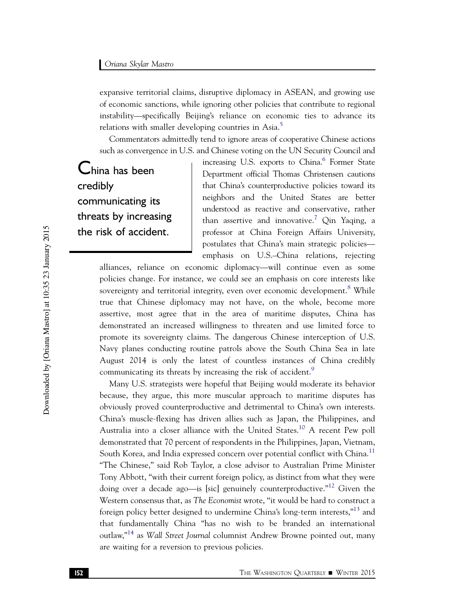expansive territorial claims, disruptive diplomacy in ASEAN, and growing use of economic sanctions, while ignoring other policies that contribute to regional instability—specifically Beijing's reliance on economic ties to advance its relations with smaller developing countries in Asia.<sup>5</sup>

Commentators admittedly tend to ignore areas of cooperative Chinese actions such as convergence in U.S. and Chinese voting on the UN Security Council and

China has been credibly communicating its threats by increasing the risk of accident.

increasing U.S. exports to China.<sup>6</sup> Former State Department official Thomas Christensen cautions that China's counterproductive policies toward its neighbors and the United States are better understood as reactive and conservative, rather than assertive and innovative.<sup>7</sup> Qin Yaqing, a professor at China Foreign Affairs University, postulates that China's main strategic policies emphasis on U.S.–China relations, rejecting

alliances, reliance on economic diplomacy—will continue even as some policies change. For instance, we could see an emphasis on core interests like sovereignty and territorial integrity, even over economic development.<sup>8</sup> While true that Chinese diplomacy may not have, on the whole, become more assertive, most agree that in the area of maritime disputes, China has demonstrated an increased willingness to threaten and use limited force to promote its sovereignty claims. The dangerous Chinese interception of U.S. Navy planes conducting routine patrols above the South China Sea in late August 2014 is only the latest of countless instances of China credibly communicating its threats by increasing the risk of accident.<sup>9</sup>

Many U.S. strategists were hopeful that Beijing would moderate its behavior because, they argue, this more muscular approach to maritime disputes has obviously proved counterproductive and detrimental to China's own interests. China's muscle-flexing has driven allies such as Japan, the Philippines, and Australia into a closer alliance with the United States.<sup>10</sup> A recent Pew poll demonstrated that 70 percent of respondents in the Philippines, Japan, Vietnam, South Korea, and India expressed concern over potential conflict with China.<sup>11</sup> "The Chinese," said Rob Taylor, a close advisor to Australian Prime Minister Tony Abbott, "with their current foreign policy, as distinct from what they were doing over a decade ago—is [sic] genuinely counterproductive."<sup>12</sup> Given the Western consensus that, as The Economist wrote, "it would be hard to construct a foreign policy better designed to undermine China's long-term interests,"<sup>13</sup> and that fundamentally China "has no wish to be branded an international outlaw,"<sup>14</sup> as Wall Street Journal columnist Andrew Browne pointed out, many are waiting for a reversion to previous policies.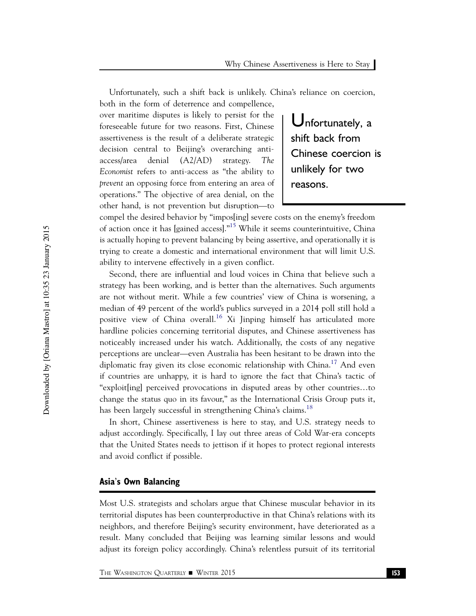Unfortunately, such a shift back is unlikely. China's reliance on coercion, both in the form of deterrence and compellence,

over maritime disputes is likely to persist for the foreseeable future for two reasons. First, Chinese assertiveness is the result of a deliberate strategic decision central to Beijing's overarching antiaccess/area denial (A2/AD) strategy. The Economist refers to anti-access as "the ability to prevent an opposing force from entering an area of operations." The objective of area denial, on the other hand, is not prevention but disruption—to

Unfortunately, a shift back from Chinese coercion is unlikely for two reasons.

compel the desired behavior by "impos[ing] severe costs on the enemy's freedom of action once it has [gained access]."<sup>15</sup> While it seems counterintuitive, China is actually hoping to prevent balancing by being assertive, and operationally it is trying to create a domestic and international environment that will limit U.S. ability to intervene effectively in a given conflict.

Second, there are influential and loud voices in China that believe such a strategy has been working, and is better than the alternatives. Such arguments are not without merit. While a few countries' view of China is worsening, a median of 49 percent of the world's publics surveyed in a 2014 poll still hold a positive view of China overall.<sup>16</sup> Xi Jinping himself has articulated more hardline policies concerning territorial disputes, and Chinese assertiveness has noticeably increased under his watch. Additionally, the costs of any negative perceptions are unclear—even Australia has been hesitant to be drawn into the diplomatic fray given its close economic relationship with  $China<sup>17</sup>$  And even if countries are unhappy, it is hard to ignore the fact that China's tactic of "exploit[ing] perceived provocations in disputed areas by other countries…to change the status quo in its favour," as the International Crisis Group puts it, has been largely successful in strengthening China's claims.<sup>18</sup>

In short, Chinese assertiveness is here to stay, and U.S. strategy needs to adjust accordingly. Specifically, I lay out three areas of Cold War-era concepts that the United States needs to jettison if it hopes to protect regional interests and avoid conflict if possible.

#### Asia's Own Balancing

Most U.S. strategists and scholars argue that Chinese muscular behavior in its territorial disputes has been counterproductive in that China's relations with its neighbors, and therefore Beijing's security environment, have deteriorated as a result. Many concluded that Beijing was learning similar lessons and would adjust its foreign policy accordingly. China's relentless pursuit of its territorial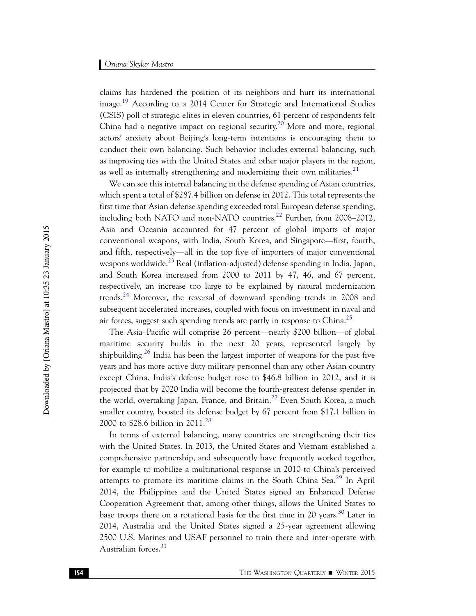claims has hardened the position of its neighbors and hurt its international image.<sup>19</sup> According to a 2014 Center for Strategic and International Studies (CSIS) poll of strategic elites in eleven countries, 61 percent of respondents felt China had a negative impact on regional security.<sup>20</sup> More and more, regional actors' anxiety about Beijing's long-term intentions is encouraging them to conduct their own balancing. Such behavior includes external balancing, such as improving ties with the United States and other major players in the region, as well as internally strengthening and modernizing their own militaries.<sup>21</sup>

We can see this internal balancing in the defense spending of Asian countries, which spent a total of \$287.4 billion on defense in 2012. This total represents the first time that Asian defense spending exceeded total European defense spending, including both NATO and non-NATO countries.<sup>22</sup> Further, from 2008–2012, Asia and Oceania accounted for 47 percent of global imports of major conventional weapons, with India, South Korea, and Singapore—first, fourth, and fifth, respectively—all in the top five of importers of major conventional weapons worldwide.<sup>23</sup> Real (inflation-adjusted) defense spending in India, Japan, and South Korea increased from 2000 to 2011 by 47, 46, and 67 percent, respectively, an increase too large to be explained by natural modernization trends.24 Moreover, the reversal of downward spending trends in 2008 and subsequent accelerated increases, coupled with focus on investment in naval and air forces, suggest such spending trends are partly in response to China.<sup>25</sup>

The Asia–Pacific will comprise 26 percent—nearly \$200 billion—of global maritime security builds in the next 20 years, represented largely by shipbuilding.<sup>26</sup> India has been the largest importer of weapons for the past five years and has more active duty military personnel than any other Asian country except China. India's defense budget rose to \$46.8 billion in 2012, and it is projected that by 2020 India will become the fourth-greatest defense spender in the world, overtaking Japan, France, and Britain.<sup>27</sup> Even South Korea, a much smaller country, boosted its defense budget by 67 percent from \$17.1 billion in 2000 to \$28.6 billion in 2011.<sup>28</sup>

In terms of external balancing, many countries are strengthening their ties with the United States. In 2013, the United States and Vietnam established a comprehensive partnership, and subsequently have frequently worked together, for example to mobilize a multinational response in 2010 to China's perceived attempts to promote its maritime claims in the South China Sea.<sup>29</sup> In April 2014, the Philippines and the United States signed an Enhanced Defense Cooperation Agreement that, among other things, allows the United States to base troops there on a rotational basis for the first time in 20 years.<sup>30</sup> Later in 2014, Australia and the United States signed a 25-year agreement allowing 2500 U.S. Marines and USAF personnel to train there and inter-operate with Australian forces.<sup>31</sup>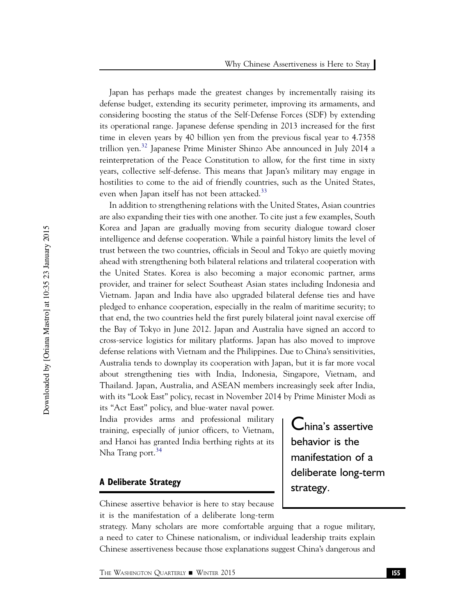Japan has perhaps made the greatest changes by incrementally raising its defense budget, extending its security perimeter, improving its armaments, and considering boosting the status of the Self-Defense Forces (SDF) by extending its operational range. Japanese defense spending in 2013 increased for the first time in eleven years by 40 billion yen from the previous fiscal year to 4.7358 trillion yen.<sup>32</sup> Japanese Prime Minister Shinzo Abe announced in July 2014 a reinterpretation of the Peace Constitution to allow, for the first time in sixty years, collective self-defense. This means that Japan's military may engage in hostilities to come to the aid of friendly countries, such as the United States, even when Japan itself has not been attacked.<sup>33</sup>

In addition to strengthening relations with the United States, Asian countries are also expanding their ties with one another. To cite just a few examples, South Korea and Japan are gradually moving from security dialogue toward closer intelligence and defense cooperation. While a painful history limits the level of trust between the two countries, officials in Seoul and Tokyo are quietly moving ahead with strengthening both bilateral relations and trilateral cooperation with the United States. Korea is also becoming a major economic partner, arms provider, and trainer for select Southeast Asian states including Indonesia and Vietnam. Japan and India have also upgraded bilateral defense ties and have pledged to enhance cooperation, especially in the realm of maritime security; to that end, the two countries held the first purely bilateral joint naval exercise off the Bay of Tokyo in June 2012. Japan and Australia have signed an accord to cross-service logistics for military platforms. Japan has also moved to improve defense relations with Vietnam and the Philippines. Due to China's sensitivities, Australia tends to downplay its cooperation with Japan, but it is far more vocal about strengthening ties with India, Indonesia, Singapore, Vietnam, and Thailand. Japan, Australia, and ASEAN members increasingly seek after India, with its "Look East" policy, recast in November 2014 by Prime Minister Modi as its "Act East" policy, and blue-water naval power.

India provides arms and professional military training, especially of junior officers, to Vietnam, and Hanoi has granted India berthing rights at its Nha Trang port.<sup>34</sup>

#### A Deliberate Strategy

China's assertive behavior is the manifestation of a deliberate long-term strategy.

Chinese assertive behavior is here to stay because it is the manifestation of a deliberate long-term

strategy. Many scholars are more comfortable arguing that a rogue military, a need to cater to Chinese nationalism, or individual leadership traits explain Chinese assertiveness because those explanations suggest China's dangerous and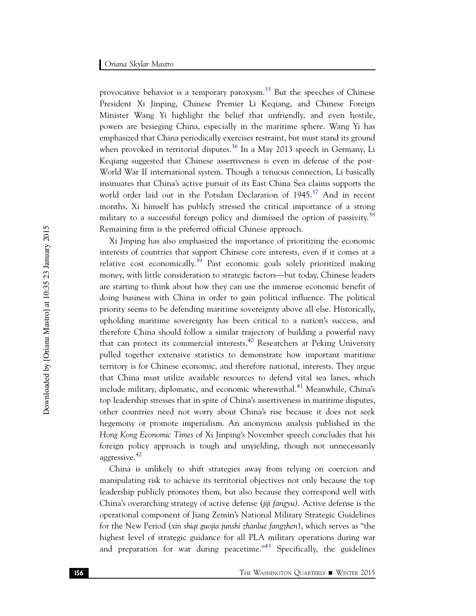provocative behavior is a temporary paroxysm.<sup>35</sup> But the speeches of Chinese President Xi Jinping, Chinese Premier Li Keqiang, and Chinese Foreign Minister Wang Yi highlight the belief that unfriendly, and even hostile, powers are besieging China, especially in the maritime sphere. Wang Yi has emphasized that China periodically exercises restraint, but must stand its ground when provoked in territorial disputes.<sup>36</sup> In a May 2013 speech in Germany, Li Keqiang suggested that Chinese assertiveness is even in defense of the post-World War II international system. Though a tenuous connection, Li basically insinuates that China's active pursuit of its East China Sea claims supports the world order laid out in the Potsdam Declaration of  $1945$ .<sup>37</sup> And in recent months, Xi himself has publicly stressed the critical importance of a strong military to a successful foreign policy and dismissed the option of passivity.<sup>38</sup> Remaining firm is the preferred official Chinese approach.

Xi Jinping has also emphasized the importance of prioritizing the economic interests of countries that support Chinese core interests, even if it comes at a relative cost economically.<sup>39</sup> Past economic goals solely prioritized making money, with little consideration to strategic factors—but today, Chinese leaders are starting to think about how they can use the immense economic benefit of doing business with China in order to gain political influence. The political priority seems to be defending maritime sovereignty above all else. Historically, upholding maritime sovereignty has been critical to a nation's success, and therefore China should follow a similar trajectory of building a powerful navy that can protect its commercial interests.<sup>40</sup> Researchers at Peking University pulled together extensive statistics to demonstrate how important maritime territory is for Chinese economic, and therefore national, interests. They argue that China must utilize available resources to defend vital sea lanes, which include military, diplomatic, and economic wherewithal.<sup>41</sup> Meanwhile, China's top leadership stresses that in spite of China's assertiveness in maritime disputes, other countries need not worry about China's rise because it does not seek hegemony or promote imperialism. An anonymous analysis published in the Hong Kong Economic Times of Xi Jinping's November speech concludes that his foreign policy approach is tough and unyielding, though not unnecessarily aggressive.<sup>42</sup>

China is unlikely to shift strategies away from relying on coercion and manipulating risk to achieve its territorial objectives not only because the top leadership publicly promotes them, but also because they correspond well with China's overarching strategy of active defense (jiji fangyu). Active defense is the operational component of Jiang Zemin's National Military Strategic Guidelines for the New Period (xin shiqi guojia junshi zhanlue fangzhen), which serves as "the highest level of strategic guidance for all PLA military operations during war and preparation for war during peacetime. $n_{43}$  Specifically, the guidelines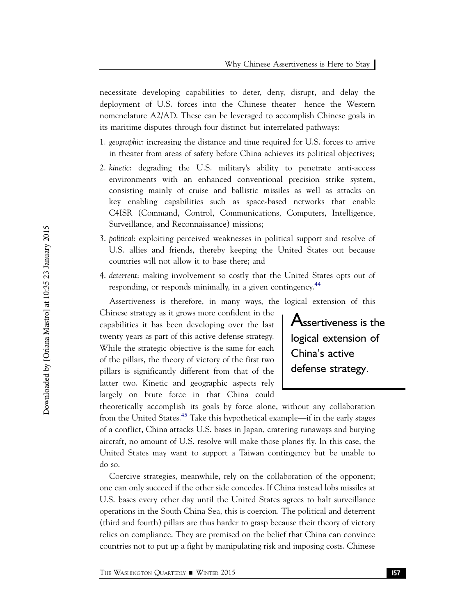necessitate developing capabilities to deter, deny, disrupt, and delay the deployment of U.S. forces into the Chinese theater—hence the Western nomenclature A2/AD. These can be leveraged to accomplish Chinese goals in its maritime disputes through four distinct but interrelated pathways:

- 1. geographic: increasing the distance and time required for U.S. forces to arrive in theater from areas of safety before China achieves its political objectives;
- 2. kinetic: degrading the U.S. military's ability to penetrate anti-access environments with an enhanced conventional precision strike system, consisting mainly of cruise and ballistic missiles as well as attacks on key enabling capabilities such as space-based networks that enable C4ISR (Command, Control, Communications, Computers, Intelligence, Surveillance, and Reconnaissance) missions;
- 3. political: exploiting perceived weaknesses in political support and resolve of U.S. allies and friends, thereby keeping the United States out because countries will not allow it to base there; and
- 4. deterrent: making involvement so costly that the United States opts out of responding, or responds minimally, in a given contingency.<sup>44</sup>

Assertiveness is therefore, in many ways, the logical extension of this

Chinese strategy as it grows more confident in the capabilities it has been developing over the last twenty years as part of this active defense strategy. While the strategic objective is the same for each of the pillars, the theory of victory of the first two pillars is significantly different from that of the latter two. Kinetic and geographic aspects rely largely on brute force in that China could

Assertiveness is the logical extension of China's active defense strategy.

theoretically accomplish its goals by force alone, without any collaboration from the United States.<sup>45</sup> Take this hypothetical example—if in the early stages of a conflict, China attacks U.S. bases in Japan, cratering runaways and burying aircraft, no amount of U.S. resolve will make those planes fly. In this case, the United States may want to support a Taiwan contingency but be unable to do so.

Coercive strategies, meanwhile, rely on the collaboration of the opponent; one can only succeed if the other side concedes. If China instead lobs missiles at U.S. bases every other day until the United States agrees to halt surveillance operations in the South China Sea, this is coercion. The political and deterrent (third and fourth) pillars are thus harder to grasp because their theory of victory relies on compliance. They are premised on the belief that China can convince countries not to put up a fight by manipulating risk and imposing costs. Chinese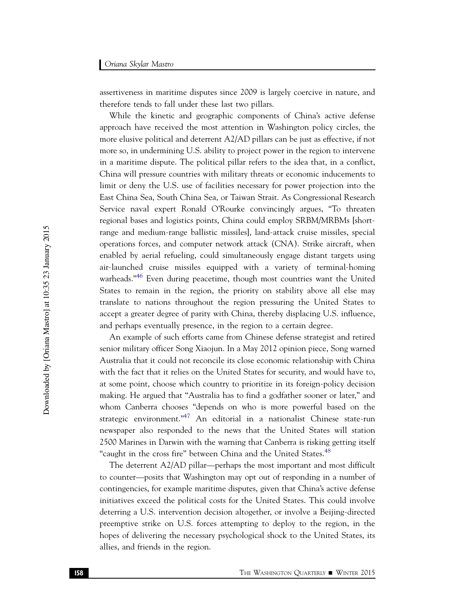assertiveness in maritime disputes since 2009 is largely coercive in nature, and therefore tends to fall under these last two pillars.

While the kinetic and geographic components of China's active defense approach have received the most attention in Washington policy circles, the more elusive political and deterrent A2/AD pillars can be just as effective, if not more so, in undermining U.S. ability to project power in the region to intervene in a maritime dispute. The political pillar refers to the idea that, in a conflict, China will pressure countries with military threats or economic inducements to limit or deny the U.S. use of facilities necessary for power projection into the East China Sea, South China Sea, or Taiwan Strait. As Congressional Research Service naval expert Ronald O'Rourke convincingly argues, "To threaten regional bases and logistics points, China could employ SRBM/MRBMs [shortrange and medium-range ballistic missiles], land-attack cruise missiles, special operations forces, and computer network attack (CNA). Strike aircraft, when enabled by aerial refueling, could simultaneously engage distant targets using air-launched cruise missiles equipped with a variety of terminal-homing warheads."<sup>46</sup> Even during peacetime, though most countries want the United States to remain in the region, the priority on stability above all else may translate to nations throughout the region pressuring the United States to accept a greater degree of parity with China, thereby displacing U.S. influence, and perhaps eventually presence, in the region to a certain degree.

An example of such efforts came from Chinese defense strategist and retired senior military officer Song Xiaojun. In a May 2012 opinion piece, Song warned Australia that it could not reconcile its close economic relationship with China with the fact that it relies on the United States for security, and would have to, at some point, choose which country to prioritize in its foreign-policy decision making. He argued that "Australia has to find a godfather sooner or later," and whom Canberra chooses "depends on who is more powerful based on the strategic environment."<sup>47</sup> An editorial in a nationalist Chinese state-run newspaper also responded to the news that the United States will station 2500 Marines in Darwin with the warning that Canberra is risking getting itself "caught in the cross fire" between China and the United States.<sup>48</sup>

The deterrent A2/AD pillar—perhaps the most important and most difficult to counter—posits that Washington may opt out of responding in a number of contingencies, for example maritime disputes, given that China's active defense initiatives exceed the political costs for the United States. This could involve deterring a U.S. intervention decision altogether, or involve a Beijing-directed preemptive strike on U.S. forces attempting to deploy to the region, in the hopes of delivering the necessary psychological shock to the United States, its allies, and friends in the region.

Downloaded by [Oriana Mastro] at 10:35 23 January 2015 Downloaded by [Oriana Mastro] at 10:35 23 January 2015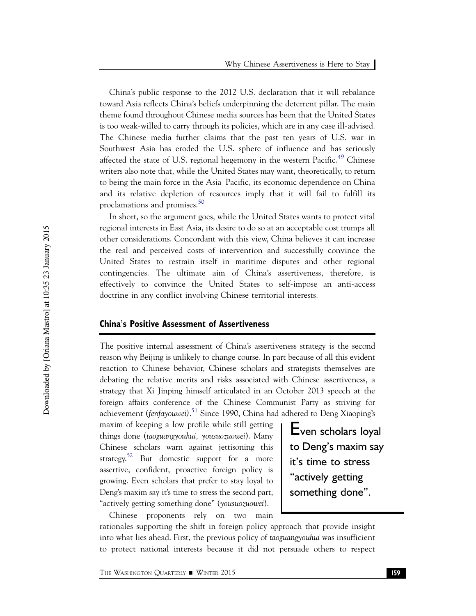China's public response to the 2012 U.S. declaration that it will rebalance toward Asia reflects China's beliefs underpinning the deterrent pillar. The main theme found throughout Chinese media sources has been that the United States is too weak-willed to carry through its policies, which are in any case ill-advised. The Chinese media further claims that the past ten years of U.S. war in Southwest Asia has eroded the U.S. sphere of influence and has seriously affected the state of U.S. regional hegemony in the western Pacific.<sup>49</sup> Chinese writers also note that, while the United States may want, theoretically, to return to being the main force in the Asia–Pacific, its economic dependence on China and its relative depletion of resources imply that it will fail to fulfill its proclamations and promises.<sup>50</sup>

In short, so the argument goes, while the United States wants to protect vital regional interests in East Asia, its desire to do so at an acceptable cost trumps all other considerations. Concordant with this view, China believes it can increase the real and perceived costs of intervention and successfully convince the United States to restrain itself in maritime disputes and other regional contingencies. The ultimate aim of China's assertiveness, therefore, is effectively to convince the United States to self-impose an anti-access doctrine in any conflict involving Chinese territorial interests.

#### China's Positive Assessment of Assertiveness

The positive internal assessment of China's assertiveness strategy is the second reason why Beijing is unlikely to change course. In part because of all this evident reaction to Chinese behavior, Chinese scholars and strategists themselves are debating the relative merits and risks associated with Chinese assertiveness, a strategy that Xi Jinping himself articulated in an October 2013 speech at the foreign affairs conference of the Chinese Communist Party as striving for achievement (*fenfa*youwei).<sup>51</sup> Since 1990, China had adhered to Deng Xiaoping's

maxim of keeping a low profile while still getting things done (taoguangyouhui, yousuozuowei). Many Chinese scholars warn against jettisoning this strategy.<sup>52</sup> But domestic support for a more assertive, confident, proactive foreign policy is growing. Even scholars that prefer to stay loyal to Deng's maxim say it's time to stress the second part, "actively getting something done" (yousuozuowei).

Chinese proponents rely on two main

Even scholars loyal to Deng's maxim say it's time to stress "actively getting something done".

rationales supporting the shift in foreign policy approach that provide insight into what lies ahead. First, the previous policy of taoguangyouhui was insufficient to protect national interests because it did not persuade others to respect

The Washington Quarterly  $\blacksquare$  Winter 2015 159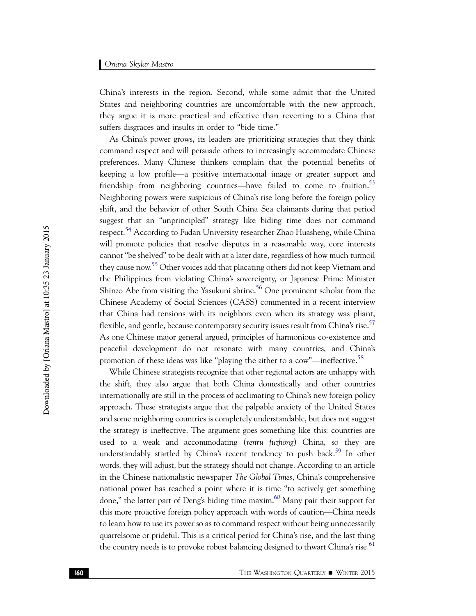China's interests in the region. Second, while some admit that the United States and neighboring countries are uncomfortable with the new approach, they argue it is more practical and effective than reverting to a China that suffers disgraces and insults in order to "bide time."

As China's power grows, its leaders are prioritizing strategies that they think command respect and will persuade others to increasingly accommodate Chinese preferences. Many Chinese thinkers complain that the potential benefits of keeping a low profile—a positive international image or greater support and friendship from neighboring countries—have failed to come to fruition.<sup>53</sup> Neighboring powers were suspicious of China's rise long before the foreign policy shift, and the behavior of other South China Sea claimants during that period suggest that an "unprincipled" strategy like biding time does not command respect.<sup>54</sup> According to Fudan University researcher Zhao Huasheng, while China will promote policies that resolve disputes in a reasonable way, core interests cannot "be shelved" to be dealt with at a later date, regardless of how much turmoil they cause now.<sup>55</sup> Other voices add that placating others did not keep Vietnam and the Philippines from violating China's sovereignty, or Japanese Prime Minister Shinzo Abe from visiting the Yasukuni shrine.<sup>56</sup> One prominent scholar from the Chinese Academy of Social Sciences (CASS) commented in a recent interview that China had tensions with its neighbors even when its strategy was pliant, flexible, and gentle, because contemporary security issues result from China's rise.<sup>57</sup> As one Chinese major general argued, principles of harmonious co-existence and peaceful development do not resonate with many countries, and China's promotion of these ideas was like "playing the zither to a cow"—ineffective.<sup>58</sup>

While Chinese strategists recognize that other regional actors are unhappy with the shift, they also argue that both China domestically and other countries internationally are still in the process of acclimating to China's new foreign policy approach. These strategists argue that the palpable anxiety of the United States and some neighboring countries is completely understandable, but does not suggest the strategy is ineffective. The argument goes something like this: countries are used to a weak and accommodating (renru fuzhong) China, so they are understandably startled by China's recent tendency to push back.<sup>59</sup> In other words, they will adjust, but the strategy should not change. According to an article in the Chinese nationalistic newspaper The Global Times, China's comprehensive national power has reached a point where it is time "to actively get something done," the latter part of Deng's biding time maxim. $^{60}$  Many pair their support for this more proactive foreign policy approach with words of caution—China needs to learn how to use its power so as to command respect without being unnecessarily quarrelsome or prideful. This is a critical period for China's rise, and the last thing the country needs is to provoke robust balancing designed to thwart China's rise.<sup>61</sup>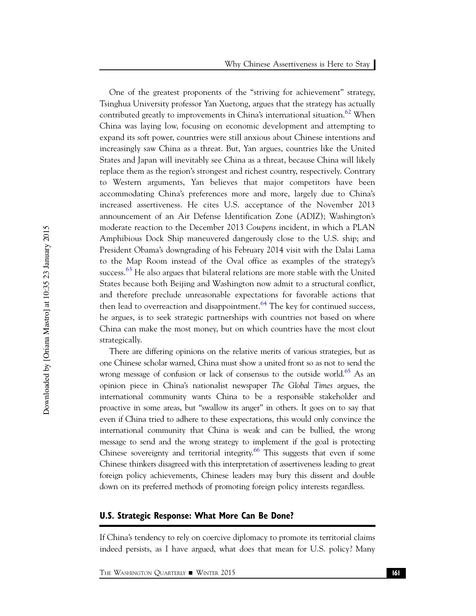One of the greatest proponents of the "striving for achievement" strategy, Tsinghua University professor Yan Xuetong, argues that the strategy has actually contributed greatly to improvements in China's international situation.<sup>62</sup> When China was laying low, focusing on economic development and attempting to expand its soft power, countries were still anxious about Chinese intentions and increasingly saw China as a threat. But, Yan argues, countries like the United States and Japan will inevitably see China as a threat, because China will likely replace them as the region's strongest and richest country, respectively. Contrary to Western arguments, Yan believes that major competitors have been accommodating China's preferences more and more, largely due to China's increased assertiveness. He cites U.S. acceptance of the November 2013 announcement of an Air Defense Identification Zone (ADIZ); Washington's moderate reaction to the December 2013 Cowpens incident, in which a PLAN Amphibious Dock Ship maneuvered dangerously close to the U.S. ship; and President Obama's downgrading of his February 2014 visit with the Dalai Lama to the Map Room instead of the Oval office as examples of the strategy's success.<sup>63</sup> He also argues that bilateral relations are more stable with the United States because both Beijing and Washington now admit to a structural conflict, and therefore preclude unreasonable expectations for favorable actions that then lead to overreaction and disappointment.  $64$  The key for continued success, he argues, is to seek strategic partnerships with countries not based on where China can make the most money, but on which countries have the most clout strategically.

There are differing opinions on the relative merits of various strategies, but as one Chinese scholar warned, China must show a united front so as not to send the wrong message of confusion or lack of consensus to the outside world.<sup>65</sup> As an opinion piece in China's nationalist newspaper The Global Times argues, the international community wants China to be a responsible stakeholder and proactive in some areas, but "swallow its anger" in others. It goes on to say that even if China tried to adhere to these expectations, this would only convince the international community that China is weak and can be bullied, the wrong message to send and the wrong strategy to implement if the goal is protecting Chinese sovereignty and territorial integrity.<sup>66</sup> This suggests that even if some Chinese thinkers disagreed with this interpretation of assertiveness leading to great foreign policy achievements, Chinese leaders may bury this dissent and double down on its preferred methods of promoting foreign policy interests regardless.

#### U.S. Strategic Response: What More Can Be Done?

If China's tendency to rely on coercive diplomacy to promote its territorial claims indeed persists, as I have argued, what does that mean for U.S. policy? Many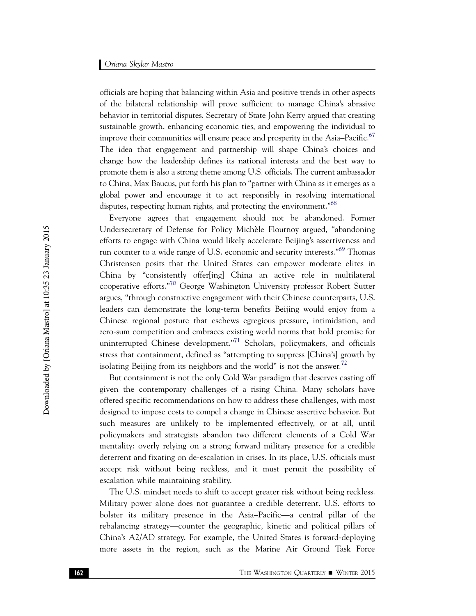officials are hoping that balancing within Asia and positive trends in other aspects of the bilateral relationship will prove sufficient to manage China's abrasive behavior in territorial disputes. Secretary of State John Kerry argued that creating sustainable growth, enhancing economic ties, and empowering the individual to improve their communities will ensure peace and prosperity in the Asia–Pacific.<sup>67</sup> The idea that engagement and partnership will shape China's choices and change how the leadership defines its national interests and the best way to promote them is also a strong theme among U.S. officials. The current ambassador to China, Max Baucus, put forth his plan to "partner with China as it emerges as a global power and encourage it to act responsibly in resolving international disputes, respecting human rights, and protecting the environment."<sup>68</sup>

Everyone agrees that engagement should not be abandoned. Former Undersecretary of Defense for Policy Michèle Flournoy argued, "abandoning efforts to engage with China would likely accelerate Beijing's assertiveness and run counter to a wide range of U.S. economic and security interests."<sup>69</sup> Thomas Christensen posits that the United States can empower moderate elites in China by "consistently offer[ing] China an active role in multilateral cooperative efforts."<sup>70</sup> George Washington University professor Robert Sutter argues, "through constructive engagement with their Chinese counterparts, U.S. leaders can demonstrate the long-term benefits Beijing would enjoy from a Chinese regional posture that eschews egregious pressure, intimidation, and zero-sum competition and embraces existing world norms that hold promise for uninterrupted Chinese development."<sup>71</sup> Scholars, policymakers, and officials stress that containment, defined as "attempting to suppress [China's] growth by isolating Beijing from its neighbors and the world" is not the answer.<sup>72</sup>

But containment is not the only Cold War paradigm that deserves casting off given the contemporary challenges of a rising China. Many scholars have offered specific recommendations on how to address these challenges, with most designed to impose costs to compel a change in Chinese assertive behavior. But such measures are unlikely to be implemented effectively, or at all, until policymakers and strategists abandon two different elements of a Cold War mentality: overly relying on a strong forward military presence for a credible deterrent and fixating on de-escalation in crises. In its place, U.S. officials must accept risk without being reckless, and it must permit the possibility of escalation while maintaining stability.

The U.S. mindset needs to shift to accept greater risk without being reckless. Military power alone does not guarantee a credible deterrent. U.S. efforts to bolster its military presence in the Asia–Pacific—a central pillar of the rebalancing strategy—counter the geographic, kinetic and political pillars of China's A2/AD strategy. For example, the United States is forward-deploying more assets in the region, such as the Marine Air Ground Task Force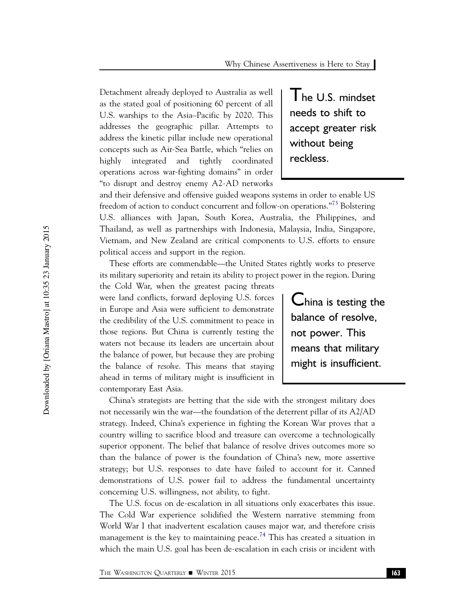Detachment already deployed to Australia as well as the stated goal of positioning 60 percent of all U.S. warships to the Asia–Pacific by 2020. This addresses the geographic pillar. Attempts to address the kinetic pillar include new operational concepts such as Air-Sea Battle, which "relies on highly integrated and tightly coordinated operations across war-fighting domains" in order "to disrupt and destroy enemy A2-AD networks The U.S. mindset needs to shift to accept greater risk without being reckless.

and their defensive and offensive guided weapons systems in order to enable US freedom of action to conduct concurrent and follow-on operations."73 Bolstering U.S. alliances with Japan, South Korea, Australia, the Philippines, and Thailand, as well as partnerships with Indonesia, Malaysia, India, Singapore, Vietnam, and New Zealand are critical components to U.S. efforts to ensure political access and support in the region.

These efforts are commendable—the United States rightly works to preserve its military superiority and retain its ability to project power in the region. During

the Cold War, when the greatest pacing threats were land conflicts, forward deploying U.S. forces in Europe and Asia were sufficient to demonstrate the credibility of the U.S. commitment to peace in those regions. But China is currently testing the waters not because its leaders are uncertain about the balance of power, but because they are probing the balance of resolve. This means that staying ahead in terms of military might is insufficient in contemporary East Asia.

China is testing the balance of resolve, not power. This means that military might is insufficient.

China's strategists are betting that the side with the strongest military does not necessarily win the war—the foundation of the deterrent pillar of its A2/AD strategy. Indeed, China's experience in fighting the Korean War proves that a country willing to sacrifice blood and treasure can overcome a technologically superior opponent. The belief that balance of resolve drives outcomes more so than the balance of power is the foundation of China's new, more assertive strategy; but U.S. responses to date have failed to account for it. Canned demonstrations of U.S. power fail to address the fundamental uncertainty concerning U.S. willingness, not ability, to fight.

The U.S. focus on de-escalation in all situations only exacerbates this issue. The Cold War experience solidified the Western narrative stemming from World War I that inadvertent escalation causes major war, and therefore crisis management is the key to maintaining peace.<sup>74</sup> This has created a situation in which the main U.S. goal has been de-escalation in each crisis or incident with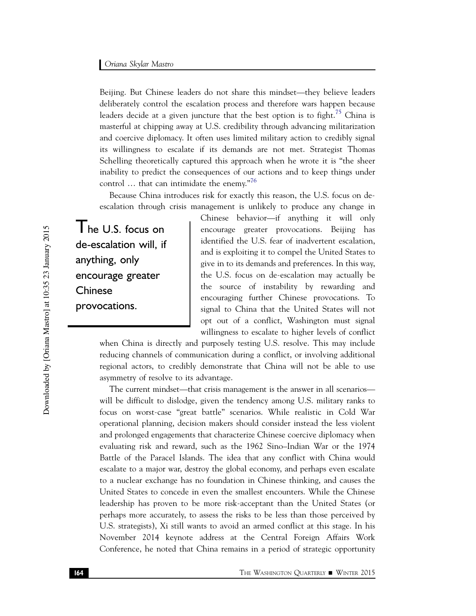Beijing. But Chinese leaders do not share this mindset—they believe leaders deliberately control the escalation process and therefore wars happen because leaders decide at a given juncture that the best option is to fight.<sup>75</sup> China is masterful at chipping away at U.S. credibility through advancing militarization and coercive diplomacy. It often uses limited military action to credibly signal its willingness to escalate if its demands are not met. Strategist Thomas Schelling theoretically captured this approach when he wrote it is "the sheer inability to predict the consequences of our actions and to keep things under control  $\ldots$  that can intimidate the enemy."<sup>76</sup>

Because China introduces risk for exactly this reason, the U.S. focus on deescalation through crisis management is unlikely to produce any change in

The U.S. focus on de-escalation will, if anything, only encourage greater **Chinese** provocations.

Chinese behavior—if anything it will only encourage greater provocations. Beijing has identified the U.S. fear of inadvertent escalation, and is exploiting it to compel the United States to give in to its demands and preferences. In this way, the U.S. focus on de-escalation may actually be the source of instability by rewarding and encouraging further Chinese provocations. To signal to China that the United States will not opt out of a conflict, Washington must signal willingness to escalate to higher levels of conflict

when China is directly and purposely testing U.S. resolve. This may include reducing channels of communication during a conflict, or involving additional regional actors, to credibly demonstrate that China will not be able to use asymmetry of resolve to its advantage.

The current mindset—that crisis management is the answer in all scenarios will be difficult to dislodge, given the tendency among U.S. military ranks to focus on worst-case "great battle" scenarios. While realistic in Cold War operational planning, decision makers should consider instead the less violent and prolonged engagements that characterize Chinese coercive diplomacy when evaluating risk and reward, such as the 1962 Sino–Indian War or the 1974 Battle of the Paracel Islands. The idea that any conflict with China would escalate to a major war, destroy the global economy, and perhaps even escalate to a nuclear exchange has no foundation in Chinese thinking, and causes the United States to concede in even the smallest encounters. While the Chinese leadership has proven to be more risk-acceptant than the United States (or perhaps more accurately, to assess the risks to be less than those perceived by U.S. strategists), Xi still wants to avoid an armed conflict at this stage. In his November 2014 keynote address at the Central Foreign Affairs Work Conference, he noted that China remains in a period of strategic opportunity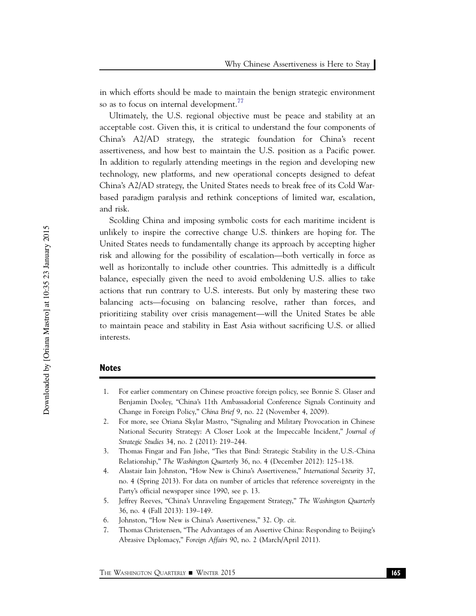in which efforts should be made to maintain the benign strategic environment so as to focus on internal development.<sup>77</sup>

Ultimately, the U.S. regional objective must be peace and stability at an acceptable cost. Given this, it is critical to understand the four components of China's A2/AD strategy, the strategic foundation for China's recent assertiveness, and how best to maintain the U.S. position as a Pacific power. In addition to regularly attending meetings in the region and developing new technology, new platforms, and new operational concepts designed to defeat China's A2/AD strategy, the United States needs to break free of its Cold Warbased paradigm paralysis and rethink conceptions of limited war, escalation, and risk.

Scolding China and imposing symbolic costs for each maritime incident is unlikely to inspire the corrective change U.S. thinkers are hoping for. The United States needs to fundamentally change its approach by accepting higher risk and allowing for the possibility of escalation—both vertically in force as well as horizontally to include other countries. This admittedly is a difficult balance, especially given the need to avoid emboldening U.S. allies to take actions that run contrary to U.S. interests. But only by mastering these two balancing acts—focusing on balancing resolve, rather than forces, and prioritizing stability over crisis management—will the United States be able to maintain peace and stability in East Asia without sacrificing U.S. or allied interests.

#### Notes

- 1. For earlier commentary on Chinese proactive foreign policy, see Bonnie S. Glaser and Benjamin Dooley, "China's 11th Ambassadorial Conference Signals Continuity and Change in Foreign Policy," China Brief 9, no. 22 (November 4, 2009).
- 2. For more, see Oriana Skylar Mastro, "Signaling and Military Provocation in Chinese National Security Strategy: A Closer Look at the Impeccable Incident," Journal of Strategic Studies 34, no. 2 (2011): 219–244.
- 3. Thomas Fingar and Fan Jishe, "Ties that Bind: Strategic Stability in the U.S.-China Relationship," The Washington Quarterly 36, no. 4 (December 2012): 125–138.
- 4. Alastair Iain Johnston, "How New is China's Assertiveness," International Security 37, no. 4 (Spring 2013). For data on number of articles that reference sovereignty in the Party's official newspaper since 1990, see p. 13.
- 5. Jeffrey Reeves, "China's Unraveling Engagement Strategy," The Washington Quarterly 36, no. 4 (Fall 2013): 139–149.
- 6. Johnston, "How New is China's Assertiveness," 32. Op. cit.
- 7. Thomas Christensen, "The Advantages of an Assertive China: Responding to Beijing's Abrasive Diplomacy," Foreign Affairs 90, no. 2 (March/April 2011).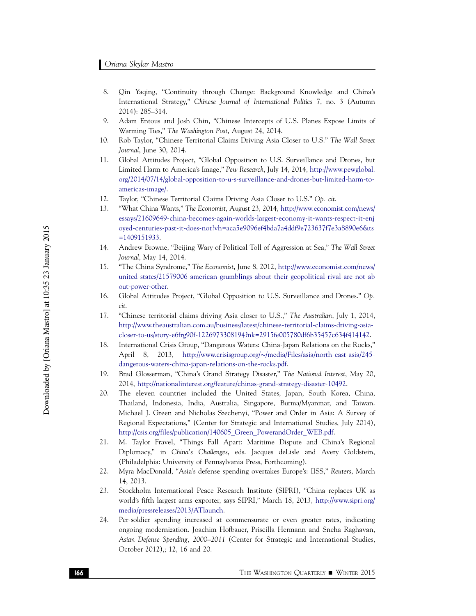- 8. Qin Yaqing, "Continuity through Change: Background Knowledge and China's International Strategy," Chinese Journal of International Politics 7, no. 3 (Autumn 2014): 285–314.
- 9. Adam Entous and Josh Chin, "Chinese Intercepts of U.S. Planes Expose Limits of Warming Ties," The Washington Post, August 24, 2014.
- 10. Rob Taylor, "Chinese Territorial Claims Driving Asia Closer to U.S." The Wall Street Journal, June 30, 2014.
- 11. Global Attitudes Project, "Global Opposition to U.S. Surveillance and Drones, but Limited Harm to America's Image," Pew Research, July 14, 2014, http://www.pewglobal. org/2014/07/14/global-opposition-to-u-s-surveillance-and-drones-but-limited-harm-toamericas-image/.
- 12. Taylor, "Chinese Territorial Claims Driving Asia Closer to U.S." Op. cit.
- 13. "What China Wants," The Economist, August 23, 2014, http://www.economist.com/news/ essays/21609649-china-becomes-again-worlds-largest-economy-it-wants-respect-it-enj oyed-centuries-past-it-does-not?vh=aca5e9096ef4bda7a4ddf9e723637f7e3a8890e6&ts  $=1409151933.$
- 14. Andrew Browne, "Beijing Wary of Political Toll of Aggression at Sea," The Wall Street Journal, May 14, 2014.
- 15. "The China Syndrome," The Economist, June 8, 2012, http://www.economist.com/news/ united-states/21579006-american-grumblings-about-their-geopolitical-rival-are-not-ab out-power-other.
- 16. Global Attitudes Project, "Global Opposition to U.S. Surveillance and Drones." Op. cit.
- 17. "Chinese territorial claims driving Asia closer to U.S.," The Australian, July 1, 2014, http://www.theaustralian.com.au/business/latest/chinese-territorial-claims-driving-asiacloser-to-us/story-e6frg90f-1226973308194?nk=2915fe005780df6b35457c634f414142.
- 18. International Crisis Group, "Dangerous Waters: China-Japan Relations on the Rocks," April 8, 2013, http://www.crisisgroup.org/∼/media/Files/asia/north-east-asia/245 dangerous-waters-china-japan-relations-on-the-rocks.pdf.
- 19. Brad Glosserman, "China's Grand Strategy Disaster," The National Interest, May 20, 2014, http://nationalinterest.org/feature/chinas-grand-strategy-disaster-10492.
- 20. The eleven countries included the United States, Japan, South Korea, China, Thailand, Indonesia, India, Australia, Singapore, Burma/Myanmar, and Taiwan. Michael J. Green and Nicholas Szechenyi, "Power and Order in Asia: A Survey of Regional Expectations," (Center for Strategic and International Studies, July 2014), http://csis.org/files/publication/140605\_Green\_PowerandOrder\_WEB.pdf.
- 21. M. Taylor Fravel, "Things Fall Apart: Maritime Dispute and China's Regional Diplomacy," in China's Challenges, eds. Jacques deLisle and Avery Goldstein, (Philadelphia: University of Pennsylvania Press, Forthcoming).
- 22. Myra MacDonald, "Asia's defense spending overtakes Europe's: IISS," Reuters, March 14, 2013.
- 23. Stockholm International Peace Research Institute (SIPRI), "China replaces UK as world's fifth largest arms exporter, says SIPRI," March 18, 2013, http://www.sipri.org/ media/pressreleases/2013/ATlaunch.
- 24. Per-soldier spending increased at commensurate or even greater rates, indicating ongoing modernization. Joachim Hofbauer, Priscilla Hermann and Sneha Raghavan, Asian Defense Spending, 2000–2011 (Center for Strategic and International Studies, October 2012),; 12, 16 and 20.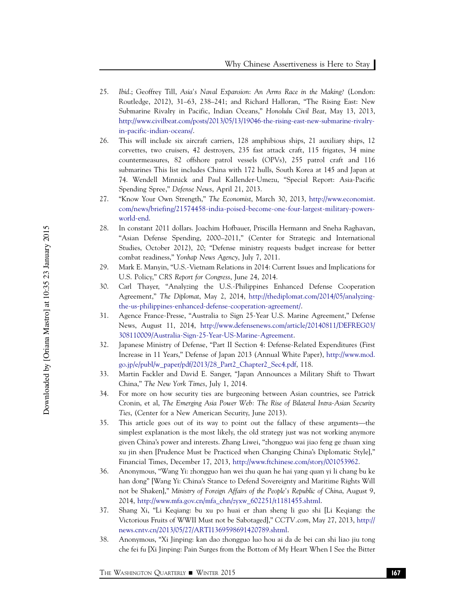- 25. Ibid.; Geoffrey Till, Asia's Naval Expansion: An Arms Race in the Making? (London: Routledge, 2012), 31–63, 238–241; and Richard Halloran, "The Rising East: New Submarine Rivalry in Pacific, Indian Oceans," Honolulu Civil Beat, May 13, 2013, http://www.civilbeat.com/posts/2013/05/13/19046-the-rising-east-new-submarine-rivalryin-pacific-indian-oceans/.
- 26. This will include six aircraft carriers, 128 amphibious ships, 21 auxiliary ships, 12 corvettes, two cruisers, 42 destroyers, 235 fast attack craft, 115 frigates, 34 mine countermeasures, 82 offshore patrol vessels (OPVs), 255 patrol craft and 116 submarines This list includes China with 172 hulls, South Korea at 145 and Japan at 74. Wendell Minnick and Paul Kallender-Umezu, "Special Report: Asia-Pacific Spending Spree," Defense News, April 21, 2013.
- 27. "Know Your Own Strength," The Economist, March 30, 2013, http://www.economist. com/news/briefing/21574458-india-poised-become-one-four-largest-military-powersworld-end.
- 28. In constant 2011 dollars. Joachim Hofbauer, Priscilla Hermann and Sneha Raghavan, "Asian Defense Spending, 2000–2011," (Center for Strategic and International Studies, October 2012), 20; "Defense ministry requests budget increase for better combat readiness," Yonhap News Agency, July 7, 2011.
- 29. Mark E. Manyin, "U.S.-Vietnam Relations in 2014: Current Issues and Implications for U.S. Policy," CRS Report for Congress, June 24, 2014.
- 30. Carl Thayer, "Analyzing the U.S.-Philippines Enhanced Defense Cooperation Agreement," The Diplomat, May 2, 2014, http://thediplomat.com/2014/05/analyzingthe-us-philippines-enhanced-defense-cooperation-agreement/.
- 31. Agence France-Presse, "Australia to Sign 25-Year U.S. Marine Agreement," Defense News, August 11, 2014, http://www.defensenews.com/article/20140811/DEFREG03/ 308110009/Australia-Sign-25-Year-US-Marine-Agreement.
- 32. Japanese Ministry of Defense, "Part II Section 4: Defense-Related Expenditures (First Increase in 11 Years," Defense of Japan 2013 (Annual White Paper), http://www.mod. go.jp/e/publ/w\_paper/pdf/2013/28\_Part2\_Chapter2\_Sec4.pdf, 118.
- 33. Martin Fackler and David E. Sanger, "Japan Announces a Military Shift to Thwart China," The New York Times, July 1, 2014.
- 34. For more on how security ties are burgeoning between Asian countries, see Patrick Cronin, et al, The Emerging Asia Power Web: The Rise of Bilateral Intra-Asian Security Ties, (Center for a New American Security, June 2013).
- 35. This article goes out of its way to point out the fallacy of these arguments—the simplest explanation is the most likely, the old strategy just was not working anymore given China's power and interests. Zhang Liwei, "zhongguo wai jiao feng ge zhuan xing xu jin shen [Prudence Must be Practiced when Changing China's Diplomatic Style]," Financial Times, December 17, 2013, http://www.ftchinese.com/story/001053962.
- 36. Anonymous, "Wang Yi: zhongguo han wei zhu quan he hai yang quan yi li chang bu ke han dong" [Wang Yi: China's Stance to Defend Sovereignty and Maritime Rights Will not be Shaken]," Ministry of Foreign Affairs of the People's Republic of China, August 9, 2014, http://www.mfa.gov.cn/mfa\_chn/zyxw\_602251/t1181455.shtml.
- 37. Shang Xi, "Li Keqiang: bu xu po huai er zhan sheng li guo shi [Li Keqiang: the Victorious Fruits of WWII Must not be Sabotaged]," CCTV.com, May 27, 2013, http:// news.cntv.cn/2013/05/27/ARTI1369598691420789.shtml.
- 38. Anonymous, "Xi Jinping: kan dao zhongguo luo hou ai da de bei can shi liao jiu tong che fei fu [Xi Jinping: Pain Surges from the Bottom of My Heart When I See the Bitter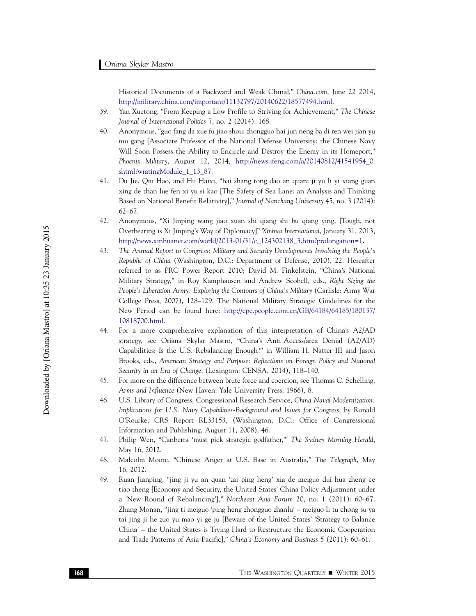Historical Documents of a Backward and Weak China]," China.com, June 22 2014, http://military.china.com/important/11132797/20140622/18577494.html.

- 39. Yan Xuetong, "From Keeping a Low Profile to Striving for Achievement," The Chinese Journal of International Politics 7, no. 2 (2014): 168.
- 40. Anonymous, "guo fang da xue fu jiao shou: zhongguo hai jun neng ba di ren wei jian yu mu gang [Associate Professor of the National Defense University: the Chinese Navy Will Soon Possess the Ability to Encircle and Destroy the Enemy in its Homeport," Phoenix Military, August 12, 2014, http://news.ifeng.com/a/20140812/41541954\_0. shtml?wratingModule\_1\_13\_87.
- 41. Du Jie, Qiu Hao, and Hu Haixi, "hai shang tong dao an quan: ji yu li yi xiang guan xing de zhan lue fen xi yu si kao [The Safety of Sea Lane: an Analysis and Thinking Based on National Benefit Relativity]," Journal of Nanchang University 45, no. 3 (2014): 62–67.
- 42. Anonymous, "Xi Jinping wang jiao xuan shi qiang shi bu qiang ying, [Tough, not Overbearing is Xi Jinping's Way of Diplomacy]" Xinhua International, January 31, 2013, http://news.xinhuanet.com/world/2013-01/31/c\_124302138\_3.htm?prolongation=1.
- 43. The Annual Report to Congress: Military and Security Developments Involving the People's Republic of China (Washington, D.C.: Department of Defense, 2010), 22. Hereafter referred to as PRC Power Report 2010; David M. Finkelstein, "China's National Military Strategy," in Roy Kamphausen and Andrew Scobell, eds., Right Sizing the People's Liberation Army: Exploring the Contours of China's Military (Carlisle: Army War College Press, 2007), 128–129. The National Military Strategic Guidelines for the New Period can be found here: http://cpc.people.com.cn/GB/64184/64185/180137/ 10818700.html.
- 44. For a more comprehensive explanation of this interpretation of China's A2/AD strategy, see Oriana Skylar Mastro, "China's Anti-Access/area Denial (A2/AD) Capabilities: Is the U.S. Rebalancing Enough?" in William H. Natter III and Jason Brooks, eds., American Strategy and Purpose: Reflections on Foreign Policy and National Security in an Era of Change, (Lexington: CENSA, 2014), 118–140.
- 45. For more on the difference between brute force and coercion, see Thomas C. Schelling, Arms and Influence (New Haven: Yale University Press, 1966), 8.
- 46. U.S. Library of Congress, Congressional Research Service, China Naval Modernization: Implications for U.S. Navy Capabilities-Background and Issues for Congress, by Ronald O'Rourke, CRS Report RL33153, (Washington, D.C.: Office of Congressional Information and Publishing, August 11, 2008), 46.
- 47. Philip Wen, "Canberra 'must pick strategic godfather,'" The Sydney Morning Herald, May 16, 2012.
- 48. Malcolm Moore, "Chinese Anger at U.S. Base in Australia," The Telegraph, May 16, 2012.
- 49. Ruan Jianping, "jing ji yu an quan 'zai ping heng' xia de meiguo dui hua zheng ce tiao zheng [Economy and Security, the United States' China Policy Adjustment under a 'New Round of Rebalancing']," Northeast Asia Forum 20, no. 1 (2011): 60–67. Zhang Monan, "jing ti meiguo 'ping heng zhongguo zhanlu' – meiguo li tu chong su ya tai jing ji he zuo yu mao yi ge ju [Beware of the United States' 'Strategy to Balance China' – the United States is Trying Hard to Restructure the Economic Cooperation and Trade Patterns of Asia-Pacific]," China's Economy and Business 5 (2011): 60–61.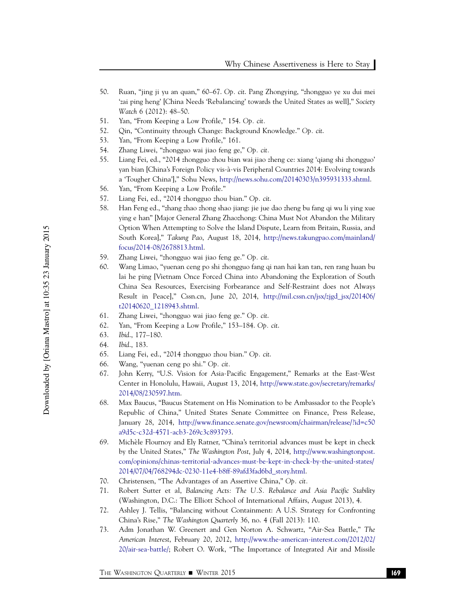- 50. Ruan, "jing ji yu an quan," 60–67. Op. cit. Pang Zhongying, "zhongguo ye xu dui mei 'zai ping heng' [China Needs 'Rebalancing' towards the United States as well]," Society Watch 6 (2012): 48–50.
- 51. Yan, "From Keeping a Low Profile," 154. Op. cit.
- 52. Qin, "Continuity through Change: Background Knowledge." Op. cit.
- 53. Yan, "From Keeping a Low Profile," 161.
- 54. Zhang Liwei, "zhongguo wai jiao feng ge," Op. cit.
- 55. Liang Fei, ed., "2014 zhongguo zhou bian wai jiao zheng ce: xiang 'qiang shi zhongguo' yan bian [China's Foreign Policy vis-a`-vis Peripheral Countries 2014: Evolving towards a 'Tougher China']," Sohu News, http://news.sohu.com/20140303/n395931333.shtml.
- 56. Yan, "From Keeping a Low Profile."
- 57. Liang Fei, ed., "2014 zhongguo zhou bian." Op. cit.
- 58. Han Feng ed., "zhang zhao zhong shao jiang: jie jue dao zheng bu fang qi wu li ying xue ying e han" [Major General Zhang Zhaozhong: China Must Not Abandon the Military Option When Attempting to Solve the Island Dispute, Learn from Britain, Russia, and South Korea]," Takung Pao, August 18, 2014, http://news.takungpao.com/mainland/ focus/2014-08/2678813.html.
- 59. Zhang Liwei, "zhongguo wai jiao feng ge." Op. cit.
- 60. Wang Limao, "yuenan ceng po shi zhongguo fang qi nan hai kan tan, ren rang huan bu lai he ping [Vietnam Once Forced China into Abandoning the Exploration of South China Sea Resources, Exercising Forbearance and Self-Restraint does not Always Result in Peace]," Cssn.cn, June 20, 2014, http://mil.cssn.cn/jsx/zjgd\_jsx/201406/ t20140620\_1218943.shtml.
- 61. Zhang Liwei, "zhongguo wai jiao feng ge." Op. cit.
- 62. Yan, "From Keeping a Low Profile," 153–184. Op. cit.
- 63. Ibid., 177–180.
- 64. Ibid., 183.
- 65. Liang Fei, ed., "2014 zhongguo zhou bian." Op. cit.
- 66. Wang, "yuenan ceng po shi." Op. cit.
- 67. John Kerry, "U.S. Vision for Asia-Pacific Engagement," Remarks at the East-West Center in Honolulu, Hawaii, August 13, 2014, http://www.state.gov/secretary/remarks/ 2014/08/230597.htm.
- 68. Max Baucus, "Baucus Statement on His Nomination to be Ambassador to the People's Republic of China," United States Senate Committee on Finance, Press Release, January 28, 2014, http://www.finance.senate.gov/newsroom/chairman/release/?id=c50 a9d5c-c32d-4571-acb3-269c3c893793.
- 69. Miche`le Flournoy and Ely Ratner, "China's territorial advances must be kept in check by the United States," The Washington Post, July 4, 2014, http://www.washingtonpost. com/opinions/chinas-territorial-advances-must-be-kept-in-check-by-the-united-states/ 2014/07/04/768294dc-0230-11e4-b8ff-89afd3fad6bd\_story.html.
- 70. Christensen, "The Advantages of an Assertive China," Op. cit.
- 71. Robert Sutter et al, Balancing Acts: The U.S. Rebalance and Asia Pacific Stability (Washington, D.C.: The Elliott School of International Affairs, August 2013), 4.
- 72. Ashley J. Tellis, "Balancing without Containment: A U.S. Strategy for Confronting China's Rise," The Washington Quarterly 36, no. 4 (Fall 2013): 110.
- 73. Adm Jonathan W. Greenert and Gen Norton A. Schwartz, "Air-Sea Battle," The American Interest, February 20, 2012, http://www.the-american-interest.com/2012/02/ 20/air-sea-battle/; Robert O. Work, "The Importance of Integrated Air and Missile